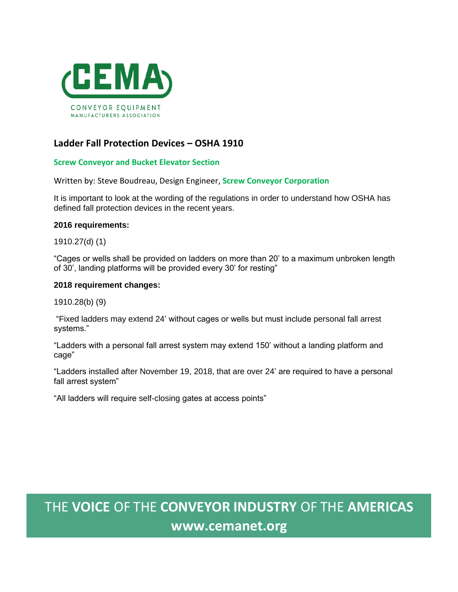

## **Ladder Fall Protection Devices – OSHA 1910**

### **Screw Conveyor and Bucket Elevator Section**

Written by: Steve Boudreau, Design Engineer, **Screw Conveyor Corporation**

It is important to look at the wording of the regulations in order to understand how OSHA has defined fall protection devices in the recent years.

#### **2016 requirements:**

1910.27(d) (1)

"Cages or wells shall be provided on ladders on more than 20' to a maximum unbroken length of 30', landing platforms will be provided every 30' for resting"

#### **2018 requirement changes:**

1910.28(b) (9)

"Fixed ladders may extend 24' without cages or wells but must include personal fall arrest systems."

"Ladders with a personal fall arrest system may extend 150' without a landing platform and cage"

"Ladders installed after November 19, 2018, that are over 24' are required to have a personal fall arrest system"

"All ladders will require self-closing gates at access points"

# THE **VOICE** OF THE **CONVEYOR INDUSTRY** OF THE **AMERICAS www.cemanet.org**